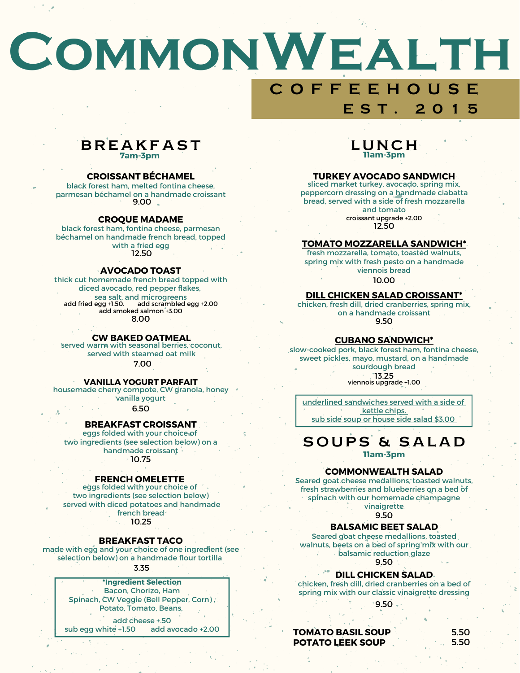# **CommonWealth C O F F E E H O U S E E S T . 2 0 1 5**

#### **BREAKFAST 7am-3pm**

#### **CROISSANT BÉCHAMEL**

black forest ham, melted fontina cheese, parmesan béchamel on a handmade croissant 9.00

#### **CROQUE MADAME**

black forest ham, fontina cheese, parmesan béchamel on handmade french bread, topped with a fried egg 12.50

#### **AVOCADO TOAST**

thick cut homemade french bread topped with diced avocado, red pepper flakes, sea salt, and microgreens 8.00 add fried egg +1.50. add scrambled egg +2.00 add smoked salmon +3.00

#### **CW BAKED OATMEAL**

served warm with seasonal berries, coconut, served with steamed oat milk 7.00

#### **VANILLA YOGURT PARFAIT**

housemade cherry compote, CW granola, honey vanilla yogurt

6.50

#### **BREAKFAST CROISSANT**

eggs folded with your choice of two ingredients (see selection below) on a handmade croissant 10.75

#### **FRENCH OMELETTE**

eggs folded with your choice of two ingredients (see selection below) served with diced potatoes and handmade french bread<sup>®</sup> 10.25

#### **BREAKFAST TACO**

made with egg and your choice of one ingredient (see selection below) on a handmade flour tortilla

3.35

**\*Ingredient Selection** Bacon, Chorizo, Ham Spinach, CW Veggie (Bell Pepper, Corn) , Potato, Tomato, Beans,

add cheese +.50

sub egg white +1.50 add avocado +2.00

#### L U N C H **11am-3pm**

#### **TURKEY AVOCADO SANDWICH**

sliced market turkey, avocado, spring mix, peppercorn dressing on a handmade ciabatta bread, served with a side of fresh mozzarella

and tomato 12.50 croissant upgrade +2.00

#### **TOMATO MOZZARELLA SANDWICH\***

10.00 fresh mozzarella, tomato, toasted walnuts, spring mix with fresh pesto on a handmade viennois bread

#### **DILL CHICKEN SALAD CROISSANT\***

9.50 chicken, fresh dill, dried cranberries, spring mix, on a handmade croissant

#### **CUBANO SANDWICH\***

slow-cooked pork, black forest ham, fontina cheese, sweet pickles, mayo, mustard, on a handmade sourdough bread 13.25 viennois upgrade +1.00

underlined sandwiches served with a side of kettle chips. sub side soup or house side salad \$3.00

SOUPS & SALAD

**11am-3pm**

#### **COMMONWEALTH SALAD**

Seared goat cheese medallions, toasted walnuts, fresh strawberries and blueberries on a bed of spinach with our homemade champagne **vinaigrette** 

 $9.50$ 

#### **BALSAMIC BEET SALAD**

Seared goat cheese medallions, toasted walnuts, beets on a bed of spring mix with our. balsamic reduction glaze 9.50

**DILL CHICKEN SALAD**

chicken, fresh dill, dried cranberries on a bed of spring mix with our classic vinaigrette dressing

 $9.50.$ 

**TOMATO BASIL SOUP POTATO LEEK SOUP**

5.50 5.50